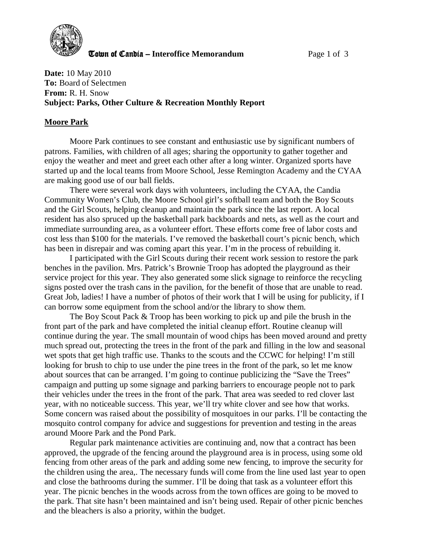

**The United Candia – Interoffice Memorandum** *Page 1 of 3* 

**Date:** 10 May 2010 **To:** Board of Selectmen **From:** R. H. Snow **Subject: Parks, Other Culture & Recreation Monthly Report** 

#### **Moore Park**

Moore Park continues to see constant and enthusiastic use by significant numbers of patrons. Families, with children of all ages; sharing the opportunity to gather together and enjoy the weather and meet and greet each other after a long winter. Organized sports have started up and the local teams from Moore School, Jesse Remington Academy and the CYAA are making good use of our ball fields.

There were several work days with volunteers, including the CYAA, the Candia Community Women's Club, the Moore School girl's softball team and both the Boy Scouts and the Girl Scouts, helping cleanup and maintain the park since the last report. A local resident has also spruced up the basketball park backboards and nets, as well as the court and immediate surrounding area, as a volunteer effort. These efforts come free of labor costs and cost less than \$100 for the materials. I've removed the basketball court's picnic bench, which has been in disrepair and was coming apart this year. I'm in the process of rebuilding it.

I participated with the Girl Scouts during their recent work session to restore the park benches in the pavilion. Mrs. Patrick's Brownie Troop has adopted the playground as their service project for this year. They also generated some slick signage to reinforce the recycling signs posted over the trash cans in the pavilion, for the benefit of those that are unable to read. Great Job, ladies! I have a number of photos of their work that I will be using for publicity, if I can borrow some equipment from the school and/or the library to show them.

The Boy Scout Pack & Troop has been working to pick up and pile the brush in the front part of the park and have completed the initial cleanup effort. Routine cleanup will continue during the year. The small mountain of wood chips has been moved around and pretty much spread out, protecting the trees in the front of the park and filling in the low and seasonal wet spots that get high traffic use. Thanks to the scouts and the CCWC for helping! I'm still looking for brush to chip to use under the pine trees in the front of the park, so let me know about sources that can be arranged. I'm going to continue publicizing the "Save the Trees" campaign and putting up some signage and parking barriers to encourage people not to park their vehicles under the trees in the front of the park. That area was seeded to red clover last year, with no noticeable success. This year, we'll try white clover and see how that works. Some concern was raised about the possibility of mosquitoes in our parks. I'll be contacting the mosquito control company for advice and suggestions for prevention and testing in the areas around Moore Park and the Pond Park.

Regular park maintenance activities are continuing and, now that a contract has been approved, the upgrade of the fencing around the playground area is in process, using some old fencing from other areas of the park and adding some new fencing, to improve the security for the children using the area,. The necessary funds will come from the line used last year to open and close the bathrooms during the summer. I'll be doing that task as a volunteer effort this year. The picnic benches in the woods across from the town offices are going to be moved to the park. That site hasn't been maintained and isn't being used. Repair of other picnic benches and the bleachers is also a priority, within the budget.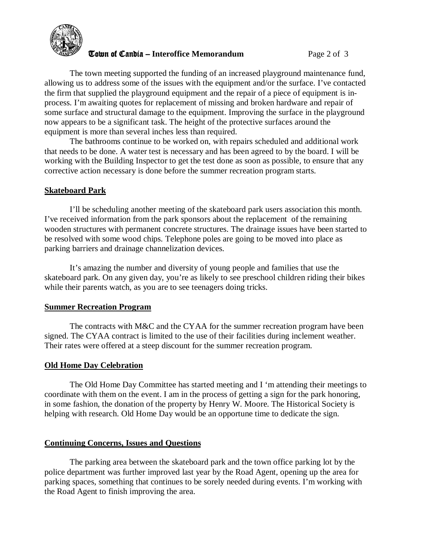

#### **The United Candia – Interoffice Memorandum** *Page 2 of 3*

The town meeting supported the funding of an increased playground maintenance fund, allowing us to address some of the issues with the equipment and/or the surface. I've contacted the firm that supplied the playground equipment and the repair of a piece of equipment is inprocess. I'm awaiting quotes for replacement of missing and broken hardware and repair of some surface and structural damage to the equipment. Improving the surface in the playground now appears to be a significant task. The height of the protective surfaces around the equipment is more than several inches less than required.

The bathrooms continue to be worked on, with repairs scheduled and additional work that needs to be done. A water test is necessary and has been agreed to by the board. I will be working with the Building Inspector to get the test done as soon as possible, to ensure that any corrective action necessary is done before the summer recreation program starts.

## **Skateboard Park**

 I'll be scheduling another meeting of the skateboard park users association this month. I've received information from the park sponsors about the replacement of the remaining wooden structures with permanent concrete structures. The drainage issues have been started to be resolved with some wood chips. Telephone poles are going to be moved into place as parking barriers and drainage channelization devices.

It's amazing the number and diversity of young people and families that use the skateboard park. On any given day, you're as likely to see preschool children riding their bikes while their parents watch, as you are to see teenagers doing tricks.

## **Summer Recreation Program**

The contracts with M&C and the CYAA for the summer recreation program have been signed. The CYAA contract is limited to the use of their facilities during inclement weather. Their rates were offered at a steep discount for the summer recreation program.

## **Old Home Day Celebration**

The Old Home Day Committee has started meeting and I 'm attending their meetings to coordinate with them on the event. I am in the process of getting a sign for the park honoring, in some fashion, the donation of the property by Henry W. Moore. The Historical Society is helping with research. Old Home Day would be an opportune time to dedicate the sign.

## **Continuing Concerns, Issues and Questions**

The parking area between the skateboard park and the town office parking lot by the police department was further improved last year by the Road Agent, opening up the area for parking spaces, something that continues to be sorely needed during events. I'm working with the Road Agent to finish improving the area.